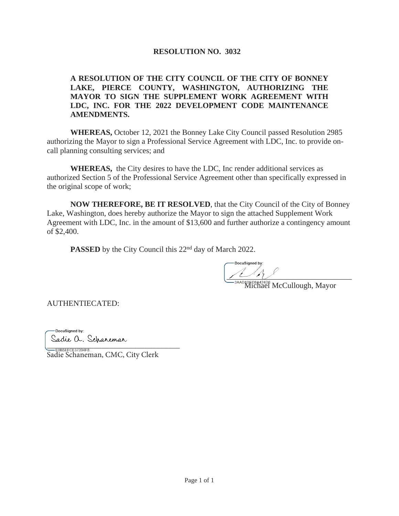# **RESOLUTION NO. 3032**

## **A RESOLUTION OF THE CITY COUNCIL OF THE CITY OF BONNEY LAKE, PIERCE COUNTY, WASHINGTON, AUTHORIZING THE MAYOR TO SIGN THE SUPPLEMENT WORK AGREEMENT WITH LDC, INC. FOR THE 2022 DEVELOPMENT CODE MAINTENANCE AMENDMENTS.**

**WHEREAS,** October 12, 2021 the Bonney Lake City Council passed Resolution 2985 authorizing the Mayor to sign a Professional Service Agreement with LDC, Inc. to provide oncall planning consulting services; and

**WHEREAS,** the City desires to have the LDC, Inc render additional services as authorized Section 5 of the Professional Service Agreement other than specifically expressed in the original scope of work;

**NOW THEREFORE, BE IT RESOLVED**, that the City Council of the City of Bonney Lake, Washington, does hereby authorize the Mayor to sign the attached Supplement Work Agreement with LDC, Inc. in the amount of \$13,600 and further authorize a contingency amount of \$2,400.

**PASSED** by the City Council this 22<sup>nd</sup> day of March 2022.

 $\frac{1}{1-\frac{1}{1-\frac{1}{1-\frac{1}{1-\frac{1}{1-\frac{1}{1-\frac{1}{1-\frac{1}{1-\frac{1}{1-\frac{1}{1-\frac{1}{1-\frac{1}{1-\frac{1}{1-\frac{1}{1-\frac{1}{1-\frac{1}{1-\frac{1}{1-\frac{1}{1-\frac{1}{1-\frac{1}{1-\frac{1}{1-\frac{1}{1-\frac{1}{1-\frac{1}{1-\frac{1}{1-\frac{1}{1-\frac{1}{1-\frac{1}{1-\frac{1}{1-\frac{1}{1-\frac{1}{1-\frac{1}{1-\frac{1}{1-\frac{1}{1-\frac{1}{1-\frac{1}{1-\frac{1$ 

Michael McCullough, Mayor

AUTHENTIECATED:

-DocuSigned by: Sadie a. Schaneman @@@@@@@@@@@@@@@@@@@@@@@@@@@@@@@@@@

Sadie Schaneman, CMC, City Clerk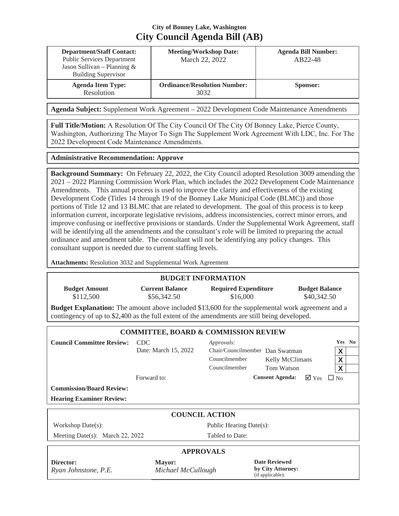# **City of Bonney Lake, Washington City Council Agenda Bill (AB)**

| <b>Department/Staff Contact:</b><br><b>Public Services Department</b><br>Jason Sullivan – Planning $&$<br><b>Building Supervisor</b> | <b>Meeting/Workshop Date:</b><br>March 22, 2022 | <b>Agenda Bill Number:</b><br>AB22-48 |
|--------------------------------------------------------------------------------------------------------------------------------------|-------------------------------------------------|---------------------------------------|
| <b>Agenda Item Type:</b><br>Resolution                                                                                               | <b>Ordinance/Resolution Number:</b><br>3032     | Sponsor:                              |

**Agenda Subject:** Supplement Work Agreement – 2022 Development Code Maintenance Amendments

**Full Title/Motion:** A Resolution Of The City Council Of The City Of Bonney Lake, Pierce County, Washington, Authorizing The Mayor To Sign The Supplement Work Agreement With LDC, Inc. For The 2022 Development Code Maintenance Amendments.

#### **Administrative Recommendation: Approve**

**Background Summary:** On February 22, 2022, the City Council adopted Resolution 3009 amending the 2021 – 2022 Planning Commission Work Plan, which includes the 2022 Development Code Maintenance Amendments. This annual process is used to improve the clarity and effectiveness of the existing Development Code (Titles 14 through 19 of the Bonney Lake Municipal Code (BLMC)) and those portions of Title 12 and 13 BLMC that are related to development. The goal of this process is to keep information current, incorporate legislative revisions, address inconsistencies, correct minor errors, and improve confusing or ineffective provisions or standards. Under the Supplemental Work Agreement, staff will be identifying all the amendments and the consultant's role will be limited to preparing the actual ordinance and amendment table. The consultant will not be identifying any policy changes. This consultant support is needed due to current staffing levels.

**Attachments:** Resolution 3032 and Supplemental Work Agreement

### **BUDGET INFORMATION**

| <b>Budget Amount</b> | <b>Current Balance</b> | <b>Required Expenditure</b>                                                                             | <b>Budget Balance</b> |
|----------------------|------------------------|---------------------------------------------------------------------------------------------------------|-----------------------|
| \$112.500            | \$56,342.50            | \$16,000                                                                                                | \$40,342.50           |
|                      |                        | <b>Budget Explanation:</b> The amount above included \$13,600 for the supplemental work agreement and a |                       |

contingency of up to \$2,400 as the full extent of the amendments are still being developed.

| <b>COMMITTEE, BOARD &amp; COMMISSION REVIEW</b> |                               |                                                                                 |                                      |                                     |                       |  |  |  |
|-------------------------------------------------|-------------------------------|---------------------------------------------------------------------------------|--------------------------------------|-------------------------------------|-----------------------|--|--|--|
| <b>Council Committee Review:</b>                | - CDC<br>Date: March 15, 2022 | Approvals:<br>Chair/Councilmember Dan Swatman<br>Councilmember<br>Councilmember | <b>Kelly McClimans</b><br>Tom Watson |                                     | Yes No<br>X<br>X<br>X |  |  |  |
|                                                 | Forward to:                   |                                                                                 | <b>Consent Agenda:</b>               | $\nabla Y_{\text{es}}$ $\square$ No |                       |  |  |  |
| <b>Commission/Board Review:</b>                 |                               |                                                                                 |                                      |                                     |                       |  |  |  |
| <b>Hearing Examiner Review:</b>                 |                               |                                                                                 |                                      |                                     |                       |  |  |  |
| <b>COUNCIL ACTION</b>                           |                               |                                                                                 |                                      |                                     |                       |  |  |  |
| Workshop Date $(s)$ :                           |                               | Public Hearing Date(s):                                                         |                                      |                                     |                       |  |  |  |
| Meeting Date(s): March 22, 2022                 |                               | Tabled to Date:                                                                 |                                      |                                     |                       |  |  |  |
| <b>APPROVALS</b>                                |                               |                                                                                 |                                      |                                     |                       |  |  |  |

#### **Director:** *Ryan Johnstone, P.E.*

**Mayor:** *Michael McCullough*  **Date Reviewed by City Attorney:**  (if applicable):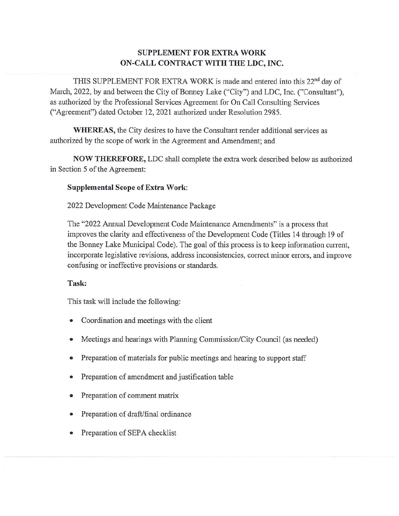# **SUPPLEMENT FOR EXTRA WORK** ON-CALL CONTRACT WITH THE LDC, INC.

THIS SUPPLEMENT FOR EXTRA WORK is made and entered into this 22<sup>nd</sup> day of March, 2022, by and between the City of Bonney Lake ("City") and LDC, Inc. ("Consultant"), as authorized by the Professional Services Agreement for On Call Consulting Services ("Agreement") dated October 12, 2021 authorized under Resolution 2985.

**WHEREAS**, the City desires to have the Consultant render additional services as authorized by the scope of work in the Agreement and Amendment; and

NOW THEREFORE, LDC shall complete the extra work described below as authorized in Section 5 of the Agreement:

### **Supplemental Scope of Extra Work:**

2022 Development Code Maintenance Package

The "2022 Annual Development Code Maintenance Amendments" is a process that improves the clarity and effectiveness of the Development Code (Titles 14 through 19 of the Bonney Lake Municipal Code). The goal of this process is to keep information current, incorporate legislative revisions, address inconsistencies, correct minor errors, and improve confusing or ineffective provisions or standards.

### Task:

This task will include the following:

- Coordination and meetings with the client
- Meetings and hearings with Planning Commission/City Council (as needed)
- Preparation of materials for public meetings and hearing to support staff  $\bullet$
- Preparation of amendment and justification table  $\bullet$
- Preparation of comment matrix
- Preparation of draft/final ordinance
- Preparation of SEPA checklist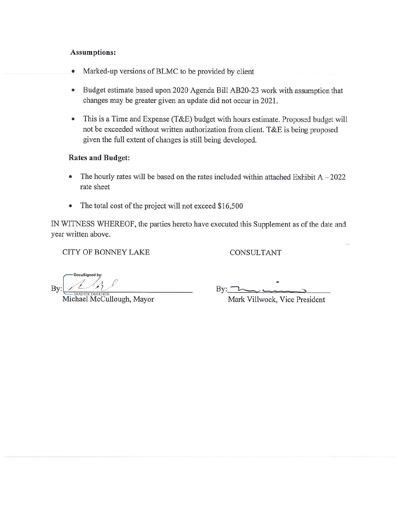### **Assumptions:**

- $\bullet$ Marked-up versions of BLMC to be provided by client
- Budget estimate based upon 2020 Agenda Bill AB20-23 work with assumption that changes may be greater given an update did not occur in 2021.
- This is a Time and Expense (T&E) budget with hours estimate. Proposed budget will  $\bullet$ not be exceeded without written authorization from client. T&E is being proposed given the full extent of changes is still being developed.

### **Rates and Budget:**

- The hourly rates will be based on the rates included within attached Exhibit  $A 2022$  $\bullet$ rate sheet
- The total cost of the project will not exceed \$16,500  $\bullet$

IN WITNESS WHEREOF, the parties hereto have executed this Supplement as of the date and year written above.

**CITY OF BONNEY LAKE** 

CONSULTANT

DocuSianed by: By:

Michael McCullough, Mayor

 $\rm{By:}$ 

Mark Villwock, Vice President